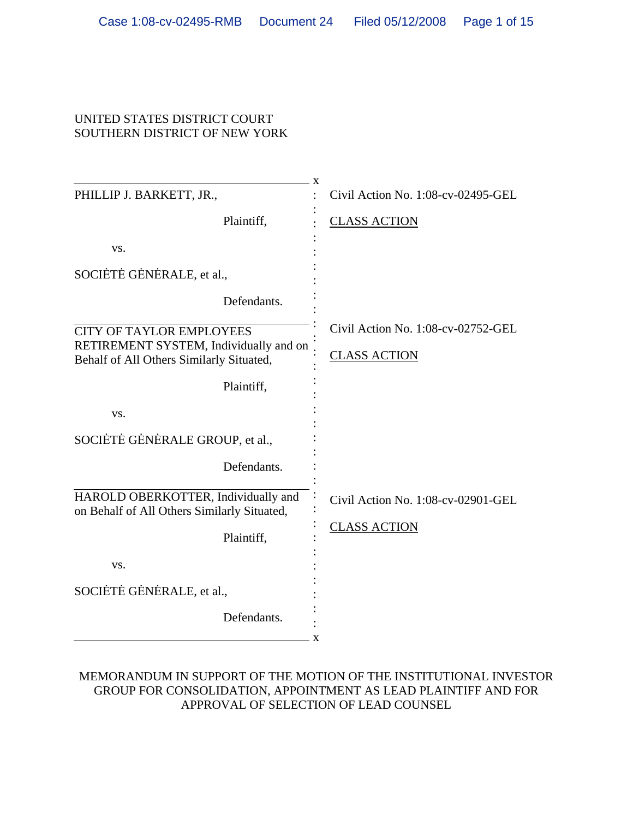### UNITED STATES DISTRICT COURT SOUTHERN DISTRICT OF NEW YORK

| X                                                                                  |                                    |
|------------------------------------------------------------------------------------|------------------------------------|
| PHILLIP J. BARKETT, JR.,                                                           | Civil Action No. 1:08-cv-02495-GEL |
| Plaintiff,                                                                         | <b>CLASS ACTION</b>                |
| VS.                                                                                |                                    |
| SOCIÈTE GENERALE, et al.,                                                          |                                    |
| Defendants.                                                                        |                                    |
| CITY OF TAYLOR EMPLOYEES                                                           | Civil Action No. 1:08-cv-02752-GEL |
| RETIREMENT SYSTEM, Individually and on<br>Behalf of All Others Similarly Situated, | <b>CLASS ACTION</b>                |
| Plaintiff,                                                                         |                                    |
| VS.                                                                                |                                    |
| SOCIETE GENERALE GROUP, et al.,                                                    |                                    |
| Defendants.                                                                        |                                    |
| HAROLD OBERKOTTER, Individually and<br>on Behalf of All Others Similarly Situated, | Civil Action No. 1:08-cv-02901-GEL |
| Plaintiff,                                                                         | <b>CLASS ACTION</b>                |
| VS.                                                                                |                                    |
| SOCIÈTE GENERALE, et al.,                                                          |                                    |
| Defendants.<br>X                                                                   |                                    |

# MEMORANDUM IN SUPPORT OF THE MOTION OF THE INSTITUTIONAL INVESTOR GROUP FOR CONSOLIDATION, APPOINTMENT AS LEAD PLAINTIFF AND FOR APPROVAL OF SELECTION OF LEAD COUNSEL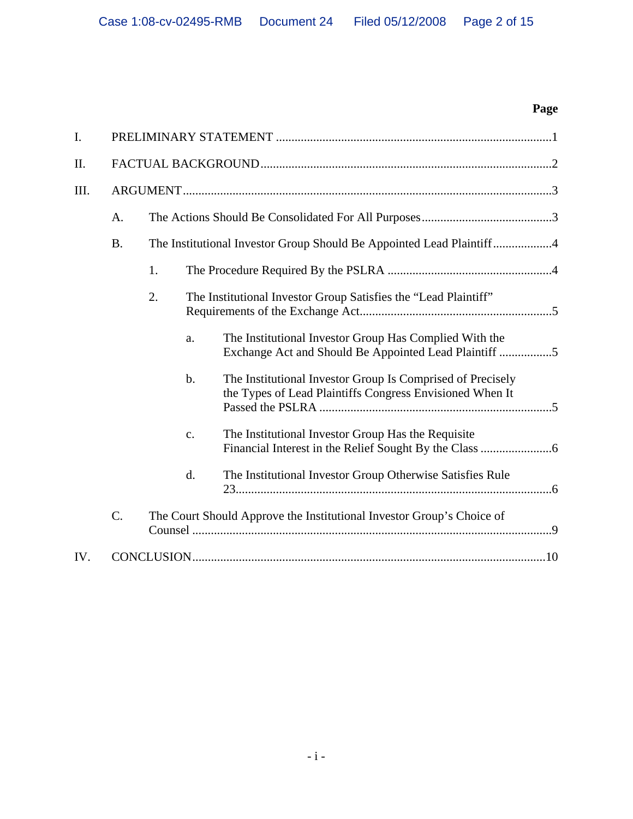# **Page**

| I.   |                 |                                                                      |                                                                 |                                                                                                                        |  |  |
|------|-----------------|----------------------------------------------------------------------|-----------------------------------------------------------------|------------------------------------------------------------------------------------------------------------------------|--|--|
| II.  |                 |                                                                      |                                                                 |                                                                                                                        |  |  |
| III. | A.              |                                                                      |                                                                 |                                                                                                                        |  |  |
|      |                 |                                                                      |                                                                 |                                                                                                                        |  |  |
|      | <b>B.</b>       | The Institutional Investor Group Should Be Appointed Lead Plaintiff4 |                                                                 |                                                                                                                        |  |  |
|      |                 | 1.                                                                   |                                                                 |                                                                                                                        |  |  |
|      |                 | 2.                                                                   | The Institutional Investor Group Satisfies the "Lead Plaintiff" |                                                                                                                        |  |  |
|      |                 |                                                                      | a.                                                              | The Institutional Investor Group Has Complied With the<br>Exchange Act and Should Be Appointed Lead Plaintiff 5        |  |  |
|      |                 |                                                                      | b.                                                              | The Institutional Investor Group Is Comprised of Precisely<br>the Types of Lead Plaintiffs Congress Envisioned When It |  |  |
|      |                 |                                                                      | $\mathbf{c}$ .                                                  | The Institutional Investor Group Has the Requisite                                                                     |  |  |
|      |                 |                                                                      | d.                                                              | The Institutional Investor Group Otherwise Satisfies Rule                                                              |  |  |
|      | $\mathcal{C}$ . |                                                                      |                                                                 | The Court Should Approve the Institutional Investor Group's Choice of                                                  |  |  |
| IV.  |                 |                                                                      |                                                                 |                                                                                                                        |  |  |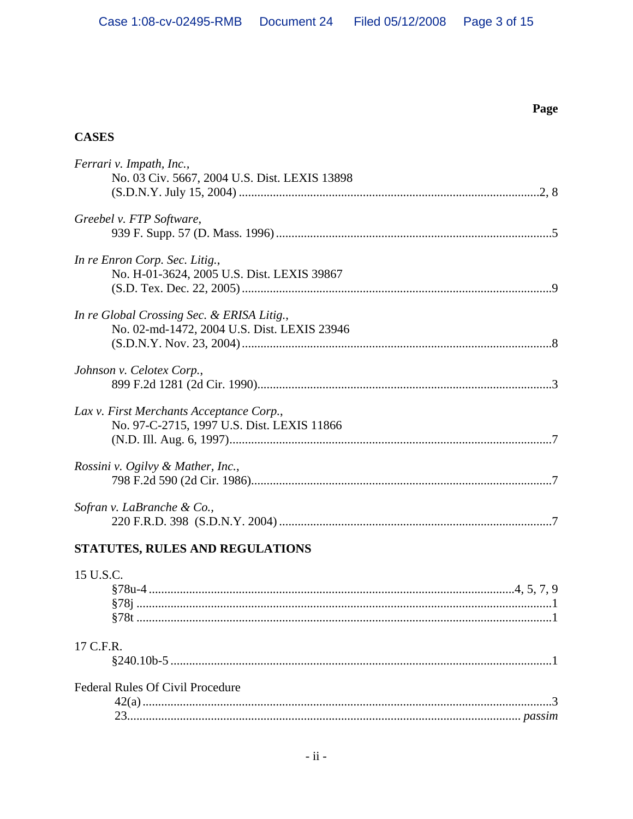Page

# **CASES**

| Ferrari v. Impath, Inc.,                      |
|-----------------------------------------------|
| No. 03 Civ. 5667, 2004 U.S. Dist. LEXIS 13898 |
|                                               |
| Greebel v. FTP Software,                      |
|                                               |
| In re Enron Corp. Sec. Litig.,                |
| No. H-01-3624, 2005 U.S. Dist. LEXIS 39867    |
|                                               |
| In re Global Crossing Sec. & ERISA Litig.,    |
| No. 02-md-1472, 2004 U.S. Dist. LEXIS 23946   |
|                                               |
| Johnson v. Celotex Corp.,                     |
|                                               |
| Lax v. First Merchants Acceptance Corp.,      |
| No. 97-C-2715, 1997 U.S. Dist. LEXIS 11866    |
|                                               |
| Rossini v. Ogilvy & Mather, Inc.,             |
|                                               |
| Sofran v. LaBranche & Co.,                    |
|                                               |
| STATUTES, RULES AND REGULATIONS               |
| 15 U.S.C.                                     |
|                                               |
|                                               |
|                                               |
| 17 C.F.R.                                     |

| <b>Federal Rules Of Civil Procedure</b> |  |
|-----------------------------------------|--|
|                                         |  |
|                                         |  |
|                                         |  |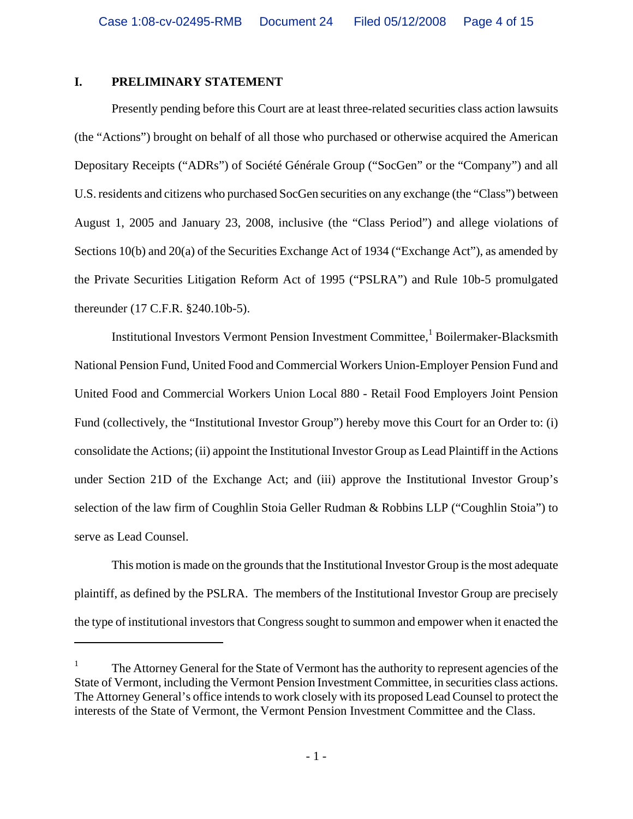## **I. PRELIMINARY STATEMENT**

 $\overline{a}$ 

Presently pending before this Court are at least three-related securities class action lawsuits (the "Actions") brought on behalf of all those who purchased or otherwise acquired the American Depositary Receipts ("ADRs") of Société Générale Group ("SocGen" or the "Company") and all U.S. residents and citizens who purchased SocGen securities on any exchange (the "Class") between August 1, 2005 and January 23, 2008, inclusive (the "Class Period") and allege violations of Sections 10(b) and 20(a) of the Securities Exchange Act of 1934 ("Exchange Act"), as amended by the Private Securities Litigation Reform Act of 1995 ("PSLRA") and Rule 10b-5 promulgated thereunder (17 C.F.R. §240.10b-5).

Institutional Investors Vermont Pension Investment Committee,<sup>1</sup> Boilermaker-Blacksmith National Pension Fund, United Food and Commercial Workers Union-Employer Pension Fund and United Food and Commercial Workers Union Local 880 - Retail Food Employers Joint Pension Fund (collectively, the "Institutional Investor Group") hereby move this Court for an Order to: (i) consolidate the Actions; (ii) appoint the Institutional Investor Group as Lead Plaintiff in the Actions under Section 21D of the Exchange Act; and (iii) approve the Institutional Investor Group's selection of the law firm of Coughlin Stoia Geller Rudman & Robbins LLP ("Coughlin Stoia") to serve as Lead Counsel.

This motion is made on the grounds that the Institutional Investor Group is the most adequate plaintiff, as defined by the PSLRA. The members of the Institutional Investor Group are precisely the type of institutional investors that Congress sought to summon and empower when it enacted the

<sup>1</sup> The Attorney General for the State of Vermont has the authority to represent agencies of the State of Vermont, including the Vermont Pension Investment Committee, in securities class actions. The Attorney General's office intends to work closely with its proposed Lead Counsel to protect the interests of the State of Vermont, the Vermont Pension Investment Committee and the Class.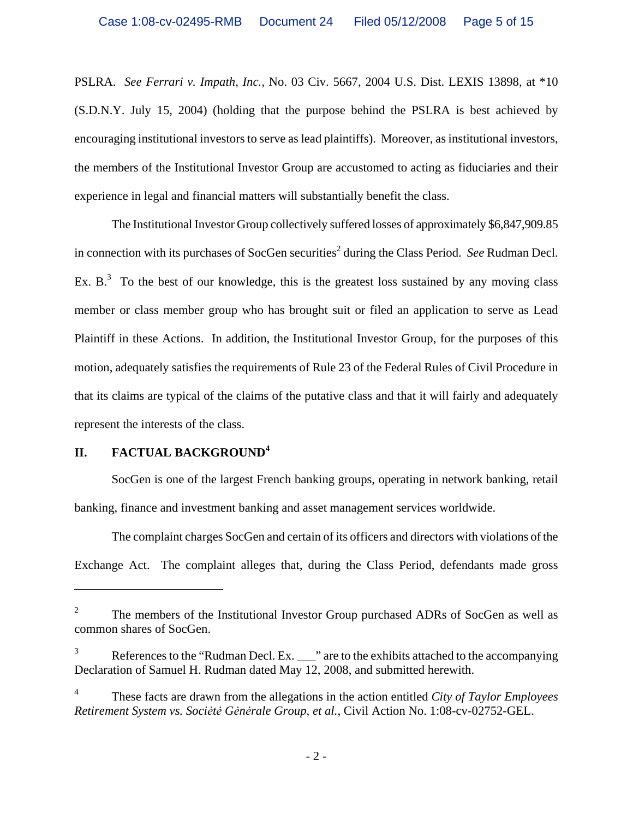PSLRA. *See Ferrari v. Impath, Inc.,* No. 03 Civ. 5667, 2004 U.S. Dist. LEXIS 13898, at \*10 (S.D.N.Y. July 15, 2004) (holding that the purpose behind the PSLRA is best achieved by encouraging institutional investors to serve as lead plaintiffs). Moreover, as institutional investors, the members of the Institutional Investor Group are accustomed to acting as fiduciaries and their experience in legal and financial matters will substantially benefit the class.

The Institutional Investor Group collectively suffered losses of approximately \$6,847,909.85 in connection with its purchases of SocGen securities<sup>2</sup> during the Class Period. *See* Rudman Decl. Ex.  $B<sup>3</sup>$  To the best of our knowledge, this is the greatest loss sustained by any moving class member or class member group who has brought suit or filed an application to serve as Lead Plaintiff in these Actions. In addition, the Institutional Investor Group, for the purposes of this motion, adequately satisfies the requirements of Rule 23 of the Federal Rules of Civil Procedure in that its claims are typical of the claims of the putative class and that it will fairly and adequately represent the interests of the class.

# **II. FACTUAL BACKGROUND<sup>4</sup>**

1

SocGen is one of the largest French banking groups, operating in network banking, retail banking, finance and investment banking and asset management services worldwide.

The complaint charges SocGen and certain of its officers and directors with violations of the Exchange Act. The complaint alleges that, during the Class Period, defendants made gross

<sup>2</sup> The members of the Institutional Investor Group purchased ADRs of SocGen as well as common shares of SocGen.

<sup>3</sup> References to the "Rudman Decl. Ex.  $\frac{1}{2}$ " are to the exhibits attached to the accompanying Declaration of Samuel H. Rudman dated May 12, 2008, and submitted herewith.

<sup>4</sup> These facts are drawn from the allegations in the action entitled *City of Taylor Employees Retirement System vs. Sociėtė Gėnėrale Group, et al.*, Civil Action No. 1:08-cv-02752-GEL.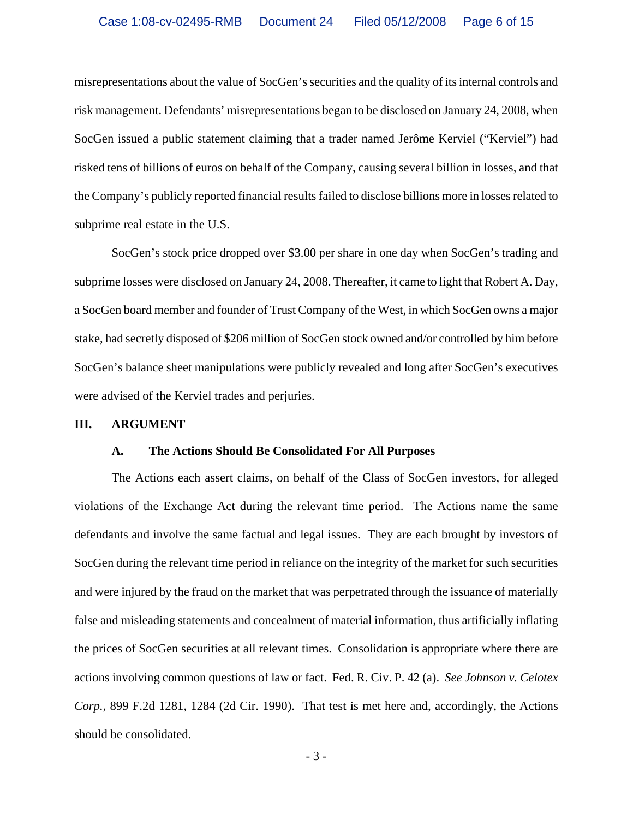misrepresentations about the value of SocGen's securities and the quality of its internal controls and risk management. Defendants' misrepresentations began to be disclosed on January 24, 2008, when SocGen issued a public statement claiming that a trader named Jerôme Kerviel ("Kerviel") had risked tens of billions of euros on behalf of the Company, causing several billion in losses, and that the Company's publicly reported financial results failed to disclose billions more in losses related to subprime real estate in the U.S.

SocGen's stock price dropped over \$3.00 per share in one day when SocGen's trading and subprime losses were disclosed on January 24, 2008. Thereafter, it came to light that Robert A. Day, a SocGen board member and founder of Trust Company of the West, in which SocGen owns a major stake, had secretly disposed of \$206 million of SocGen stock owned and/or controlled by him before SocGen's balance sheet manipulations were publicly revealed and long after SocGen's executives were advised of the Kerviel trades and perjuries.

#### **III. ARGUMENT**

#### **A. The Actions Should Be Consolidated For All Purposes**

The Actions each assert claims, on behalf of the Class of SocGen investors, for alleged violations of the Exchange Act during the relevant time period. The Actions name the same defendants and involve the same factual and legal issues. They are each brought by investors of SocGen during the relevant time period in reliance on the integrity of the market for such securities and were injured by the fraud on the market that was perpetrated through the issuance of materially false and misleading statements and concealment of material information, thus artificially inflating the prices of SocGen securities at all relevant times. Consolidation is appropriate where there are actions involving common questions of law or fact. Fed. R. Civ. P. 42 (a). *See Johnson v. Celotex Corp.*, 899 F.2d 1281, 1284 (2d Cir. 1990). That test is met here and, accordingly, the Actions should be consolidated.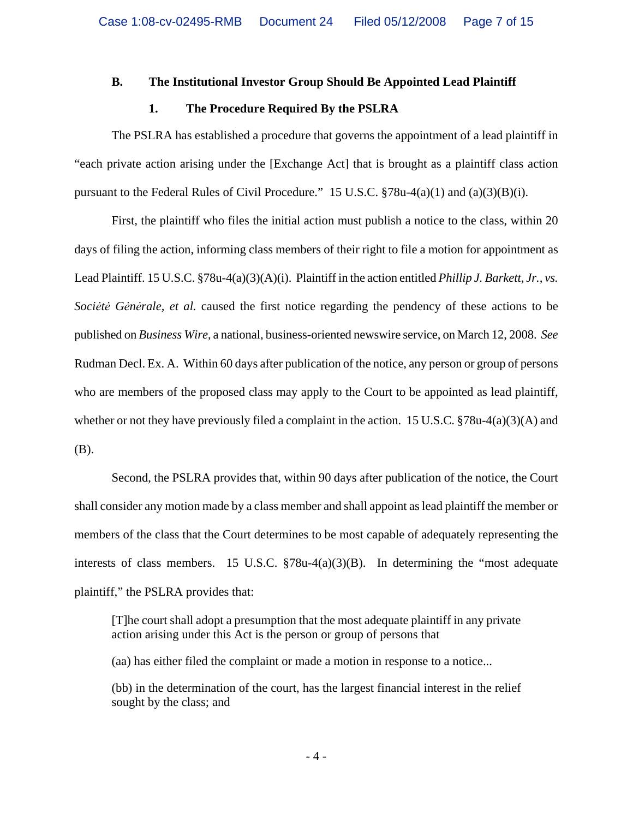#### **B. The Institutional Investor Group Should Be Appointed Lead Plaintiff**

#### **1. The Procedure Required By the PSLRA**

The PSLRA has established a procedure that governs the appointment of a lead plaintiff in "each private action arising under the [Exchange Act] that is brought as a plaintiff class action pursuant to the Federal Rules of Civil Procedure." 15 U.S.C.  $\S 78u-4(a)(1)$  and  $(a)(3)(B)(i)$ .

First, the plaintiff who files the initial action must publish a notice to the class, within 20 days of filing the action, informing class members of their right to file a motion for appointment as Lead Plaintiff. 15 U.S.C. §78u-4(a)(3)(A)(i). Plaintiff in the action entitled *Phillip J. Barkett, Jr., vs. Sociėtė Gėnėrale, et al.* caused the first notice regarding the pendency of these actions to be published on *Business Wire*, a national, business-oriented newswire service, on March 12, 2008. *See* Rudman Decl. Ex. A. Within 60 days after publication of the notice, any person or group of persons who are members of the proposed class may apply to the Court to be appointed as lead plaintiff, whether or not they have previously filed a complaint in the action. 15 U.S.C. §78u-4(a)(3)(A) and (B).

Second, the PSLRA provides that, within 90 days after publication of the notice, the Court shall consider any motion made by a class member and shall appoint as lead plaintiff the member or members of the class that the Court determines to be most capable of adequately representing the interests of class members. 15 U.S.C. §78u-4(a)(3)(B). In determining the "most adequate plaintiff," the PSLRA provides that:

[T]he court shall adopt a presumption that the most adequate plaintiff in any private action arising under this Act is the person or group of persons that

(aa) has either filed the complaint or made a motion in response to a notice...

(bb) in the determination of the court, has the largest financial interest in the relief sought by the class; and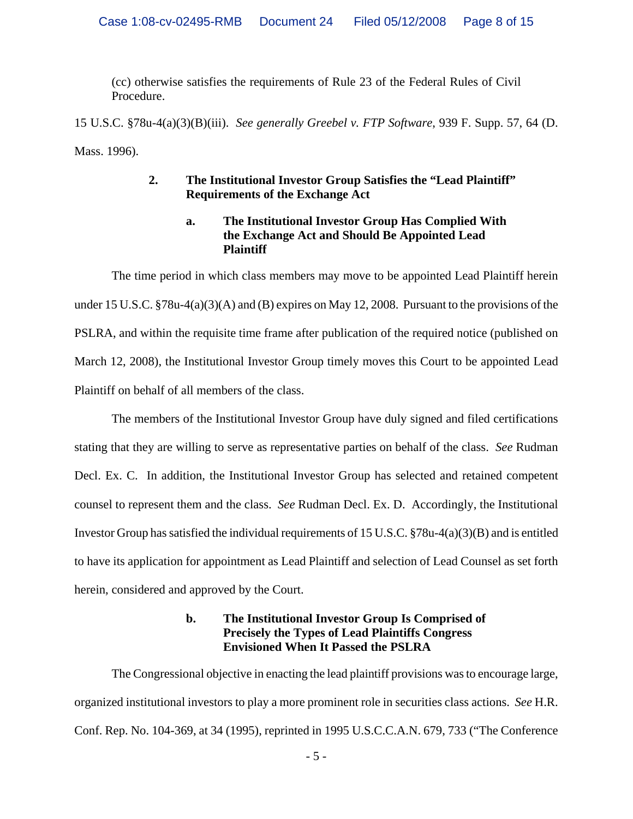(cc) otherwise satisfies the requirements of Rule 23 of the Federal Rules of Civil Procedure.

15 U.S.C. §78u-4(a)(3)(B)(iii). *See generally Greebel v. FTP Software*, 939 F. Supp. 57, 64 (D. Mass. 1996).

# **2. The Institutional Investor Group Satisfies the "Lead Plaintiff" Requirements of the Exchange Act**

# **a. The Institutional Investor Group Has Complied With the Exchange Act and Should Be Appointed Lead Plaintiff**

The time period in which class members may move to be appointed Lead Plaintiff herein under 15 U.S.C. §78u-4(a)(3)(A) and (B) expires on May 12, 2008. Pursuant to the provisions of the PSLRA, and within the requisite time frame after publication of the required notice (published on March 12, 2008), the Institutional Investor Group timely moves this Court to be appointed Lead Plaintiff on behalf of all members of the class.

The members of the Institutional Investor Group have duly signed and filed certifications stating that they are willing to serve as representative parties on behalf of the class. *See* Rudman Decl. Ex. C. In addition, the Institutional Investor Group has selected and retained competent counsel to represent them and the class. *See* Rudman Decl. Ex. D. Accordingly, the Institutional Investor Group has satisfied the individual requirements of 15 U.S.C. §78u-4(a)(3)(B) and is entitled to have its application for appointment as Lead Plaintiff and selection of Lead Counsel as set forth herein, considered and approved by the Court.

# **b. The Institutional Investor Group Is Comprised of Precisely the Types of Lead Plaintiffs Congress Envisioned When It Passed the PSLRA**

The Congressional objective in enacting the lead plaintiff provisions was to encourage large, organized institutional investors to play a more prominent role in securities class actions. *See* H.R. Conf. Rep. No. 104-369, at 34 (1995), reprinted in 1995 U.S.C.C.A.N. 679, 733 ("The Conference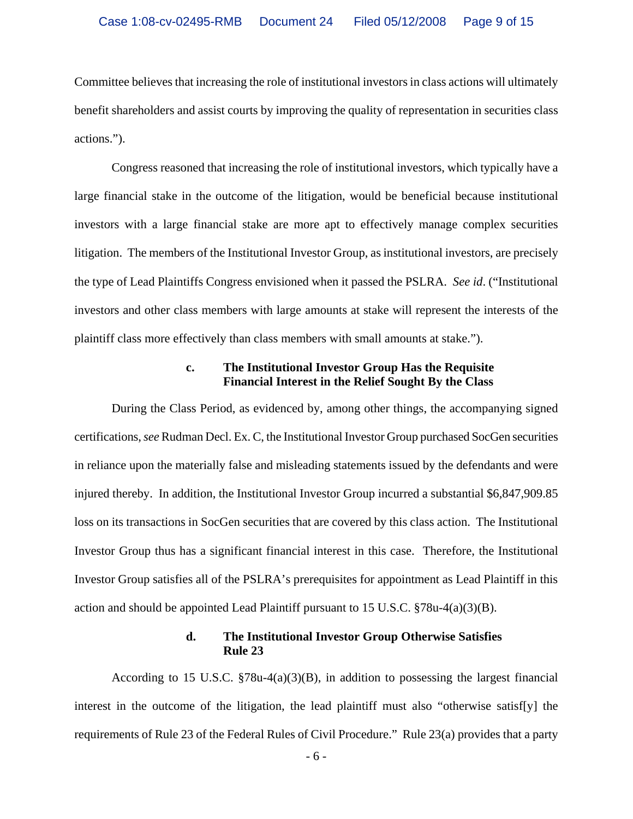Committee believes that increasing the role of institutional investors in class actions will ultimately benefit shareholders and assist courts by improving the quality of representation in securities class actions.").

Congress reasoned that increasing the role of institutional investors, which typically have a large financial stake in the outcome of the litigation, would be beneficial because institutional investors with a large financial stake are more apt to effectively manage complex securities litigation. The members of the Institutional Investor Group, as institutional investors, are precisely the type of Lead Plaintiffs Congress envisioned when it passed the PSLRA. *See id*. ("Institutional investors and other class members with large amounts at stake will represent the interests of the plaintiff class more effectively than class members with small amounts at stake.").

#### **c. The Institutional Investor Group Has the Requisite Financial Interest in the Relief Sought By the Class**

During the Class Period, as evidenced by, among other things, the accompanying signed certifications, *see* Rudman Decl. Ex. C, the Institutional Investor Group purchased SocGen securities in reliance upon the materially false and misleading statements issued by the defendants and were injured thereby. In addition, the Institutional Investor Group incurred a substantial \$6,847,909.85 loss on its transactions in SocGen securities that are covered by this class action. The Institutional Investor Group thus has a significant financial interest in this case. Therefore, the Institutional Investor Group satisfies all of the PSLRA's prerequisites for appointment as Lead Plaintiff in this action and should be appointed Lead Plaintiff pursuant to 15 U.S.C. §78u-4(a)(3)(B).

#### **d. The Institutional Investor Group Otherwise Satisfies Rule 23**

According to 15 U.S.C.  $\S78u-4(a)(3)(B)$ , in addition to possessing the largest financial interest in the outcome of the litigation, the lead plaintiff must also "otherwise satisf[y] the requirements of Rule 23 of the Federal Rules of Civil Procedure." Rule 23(a) provides that a party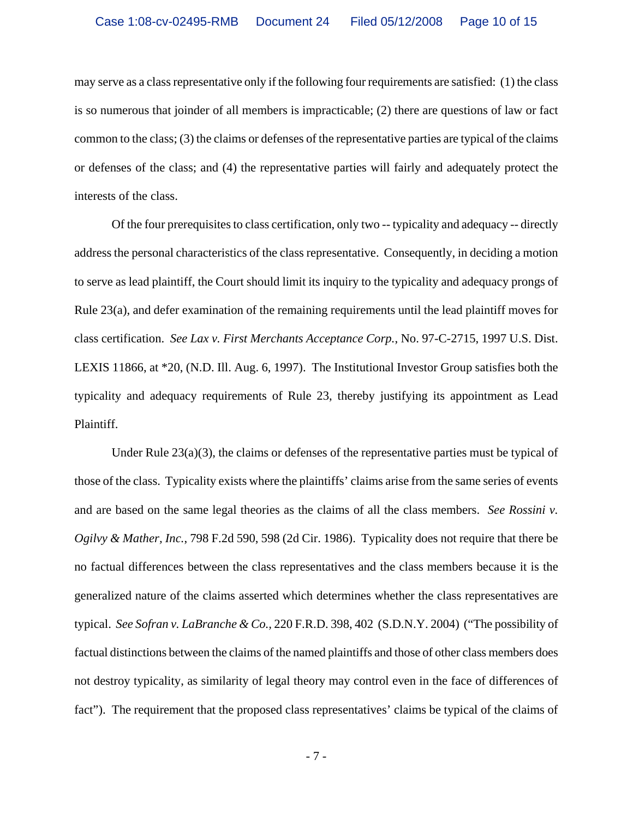may serve as a class representative only if the following four requirements are satisfied: (1) the class is so numerous that joinder of all members is impracticable; (2) there are questions of law or fact common to the class; (3) the claims or defenses of the representative parties are typical of the claims or defenses of the class; and (4) the representative parties will fairly and adequately protect the interests of the class.

Of the four prerequisites to class certification, only two -- typicality and adequacy -- directly address the personal characteristics of the class representative. Consequently, in deciding a motion to serve as lead plaintiff, the Court should limit its inquiry to the typicality and adequacy prongs of Rule 23(a), and defer examination of the remaining requirements until the lead plaintiff moves for class certification. *See Lax v. First Merchants Acceptance Corp.*, No. 97-C-2715, 1997 U.S. Dist. LEXIS 11866, at \*20, (N.D. Ill. Aug. 6, 1997). The Institutional Investor Group satisfies both the typicality and adequacy requirements of Rule 23, thereby justifying its appointment as Lead Plaintiff.

Under Rule  $23(a)(3)$ , the claims or defenses of the representative parties must be typical of those of the class. Typicality exists where the plaintiffs' claims arise from the same series of events and are based on the same legal theories as the claims of all the class members. *See Rossini v. Ogilvy & Mather, Inc.*, 798 F.2d 590, 598 (2d Cir. 1986). Typicality does not require that there be no factual differences between the class representatives and the class members because it is the generalized nature of the claims asserted which determines whether the class representatives are typical. *See Sofran v. LaBranche & Co.,* 220 F.R.D. 398, 402 (S.D.N.Y. 2004) ("The possibility of factual distinctions between the claims of the named plaintiffs and those of other class members does not destroy typicality, as similarity of legal theory may control even in the face of differences of fact"). The requirement that the proposed class representatives' claims be typical of the claims of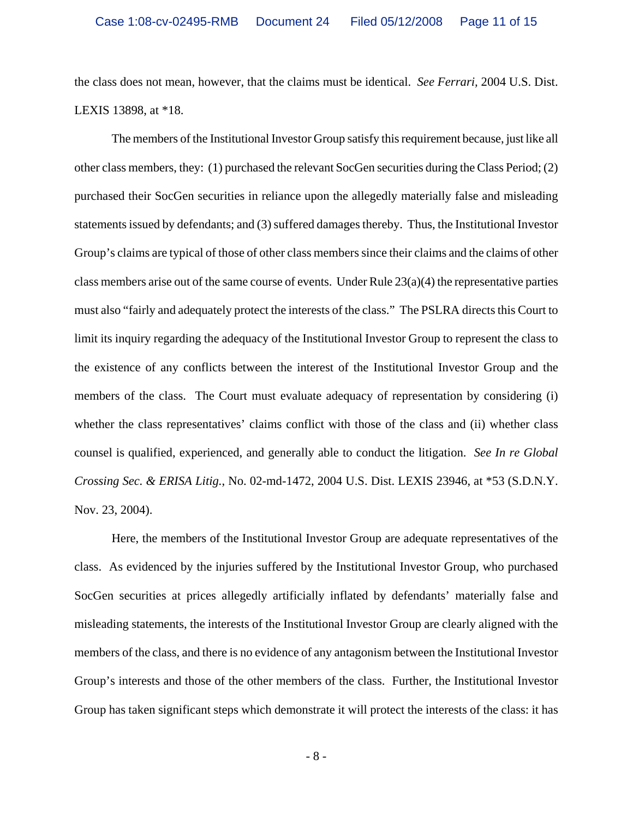the class does not mean, however, that the claims must be identical. *See Ferrari,* 2004 U.S. Dist. LEXIS 13898, at \*18.

The members of the Institutional Investor Group satisfy this requirement because, just like all other class members, they: (1) purchased the relevant SocGen securities during the Class Period; (2) purchased their SocGen securities in reliance upon the allegedly materially false and misleading statements issued by defendants; and (3) suffered damages thereby. Thus, the Institutional Investor Group's claims are typical of those of other class members since their claims and the claims of other class members arise out of the same course of events. Under Rule  $23(a)(4)$  the representative parties must also "fairly and adequately protect the interests of the class." The PSLRA directs this Court to limit its inquiry regarding the adequacy of the Institutional Investor Group to represent the class to the existence of any conflicts between the interest of the Institutional Investor Group and the members of the class. The Court must evaluate adequacy of representation by considering (i) whether the class representatives' claims conflict with those of the class and (ii) whether class counsel is qualified, experienced, and generally able to conduct the litigation. *See In re Global Crossing Sec. & ERISA Litig.*, No. 02-md-1472, 2004 U.S. Dist. LEXIS 23946, at \*53 (S.D.N.Y. Nov. 23, 2004).

Here, the members of the Institutional Investor Group are adequate representatives of the class. As evidenced by the injuries suffered by the Institutional Investor Group, who purchased SocGen securities at prices allegedly artificially inflated by defendants' materially false and misleading statements, the interests of the Institutional Investor Group are clearly aligned with the members of the class, and there is no evidence of any antagonism between the Institutional Investor Group's interests and those of the other members of the class. Further, the Institutional Investor Group has taken significant steps which demonstrate it will protect the interests of the class: it has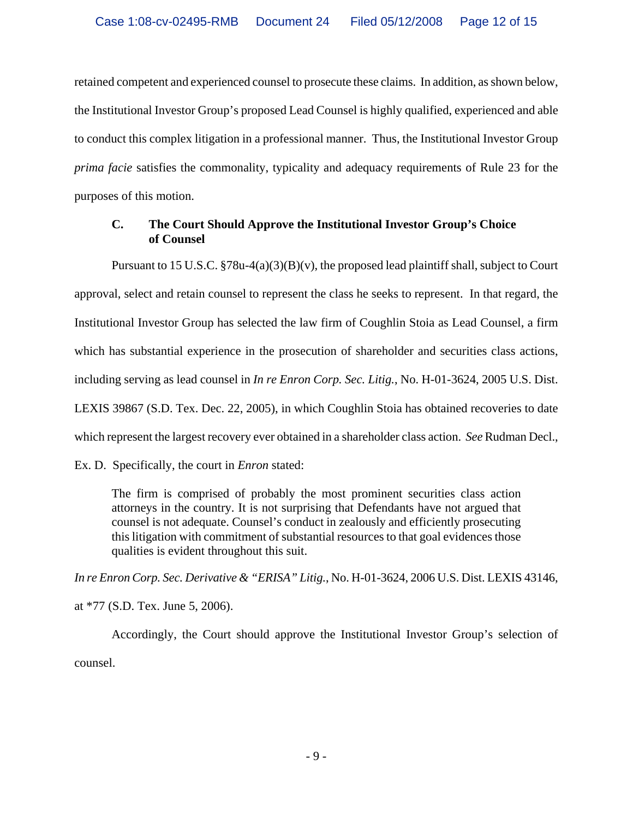retained competent and experienced counsel to prosecute these claims. In addition, as shown below, the Institutional Investor Group's proposed Lead Counsel is highly qualified, experienced and able to conduct this complex litigation in a professional manner. Thus, the Institutional Investor Group *prima facie* satisfies the commonality, typicality and adequacy requirements of Rule 23 for the purposes of this motion.

# **C. The Court Should Approve the Institutional Investor Group's Choice of Counsel**

Pursuant to 15 U.S.C. §78u-4(a)(3)(B)(v), the proposed lead plaintiff shall, subject to Court approval, select and retain counsel to represent the class he seeks to represent. In that regard, the Institutional Investor Group has selected the law firm of Coughlin Stoia as Lead Counsel, a firm which has substantial experience in the prosecution of shareholder and securities class actions, including serving as lead counsel in *In re Enron Corp. Sec. Litig.*, No. H-01-3624, 2005 U.S. Dist. LEXIS 39867 (S.D. Tex. Dec. 22, 2005), in which Coughlin Stoia has obtained recoveries to date which represent the largest recovery ever obtained in a shareholder class action. *See* Rudman Decl.,

Ex. D. Specifically, the court in *Enron* stated:

The firm is comprised of probably the most prominent securities class action attorneys in the country. It is not surprising that Defendants have not argued that counsel is not adequate. Counsel's conduct in zealously and efficiently prosecuting this litigation with commitment of substantial resources to that goal evidences those qualities is evident throughout this suit.

*In re Enron Corp. Sec. Derivative & "ERISA" Litig.*, No. H-01-3624, 2006 U.S. Dist. LEXIS 43146, at \*77 (S.D. Tex. June 5, 2006).

Accordingly, the Court should approve the Institutional Investor Group's selection of counsel.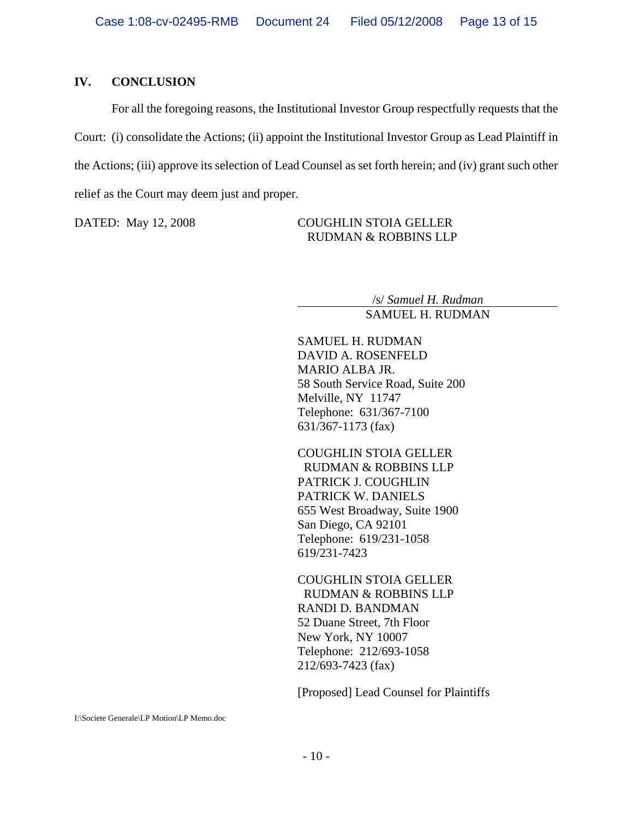#### **IV. CONCLUSION**

For all the foregoing reasons, the Institutional Investor Group respectfully requests that the Court: (i) consolidate the Actions; (ii) appoint the Institutional Investor Group as Lead Plaintiff in the Actions; (iii) approve its selection of Lead Counsel as set forth herein; and (iv) grant such other relief as the Court may deem just and proper.

DATED: May 12, 2008 COUGHLIN STOIA GELLER RUDMAN & ROBBINS LLP

> /s/ *Samuel H. Rudman* SAMUEL H. RUDMAN

SAMUEL H. RUDMAN DAVID A. ROSENFELD MARIO ALBA JR. 58 South Service Road, Suite 200 Melville, NY 11747 Telephone: 631/367-7100 631/367-1173 (fax)

COUGHLIN STOIA GELLER RUDMAN & ROBBINS LLP PATRICK J. COUGHLIN PATRICK W. DANIELS 655 West Broadway, Suite 1900 San Diego, CA 92101 Telephone: 619/231-1058 619/231-7423

COUGHLIN STOIA GELLER RUDMAN & ROBBINS LLP RANDI D. BANDMAN 52 Duane Street, 7th Floor New York, NY 10007 Telephone: 212/693-1058 212/693-7423 (fax)

[Proposed] Lead Counsel for Plaintiffs

I:\Societe Generale\LP Motion\LP Memo.doc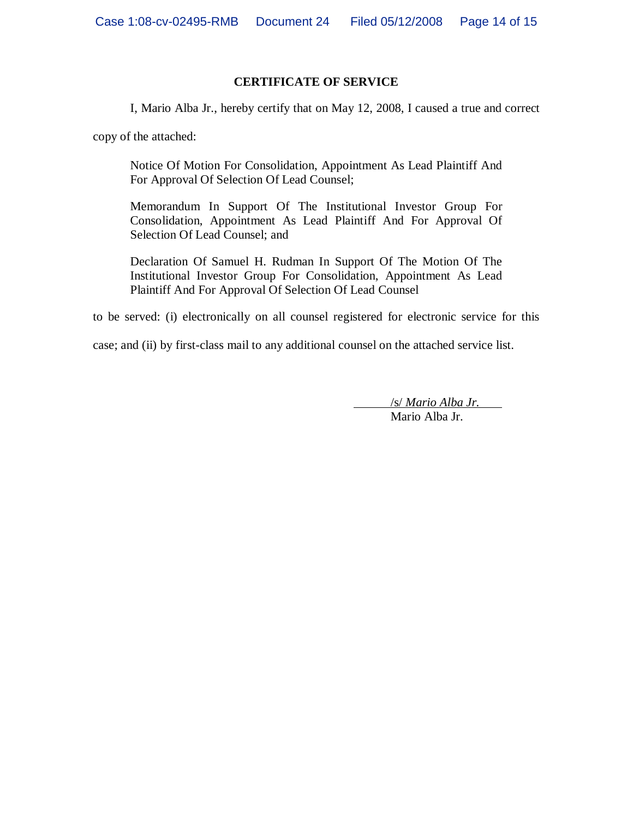# **CERTIFICATE OF SERVICE**

I, Mario Alba Jr., hereby certify that on May 12, 2008, I caused a true and correct

copy of the attached:

Notice Of Motion For Consolidation, Appointment As Lead Plaintiff And For Approval Of Selection Of Lead Counsel;

Memorandum In Support Of The Institutional Investor Group For Consolidation, Appointment As Lead Plaintiff And For Approval Of Selection Of Lead Counsel; and

Declaration Of Samuel H. Rudman In Support Of The Motion Of The Institutional Investor Group For Consolidation, Appointment As Lead Plaintiff And For Approval Of Selection Of Lead Counsel

to be served: (i) electronically on all counsel registered for electronic service for this

case; and (ii) by first-class mail to any additional counsel on the attached service list.

 /s/ *Mario Alba Jr.* Mario Alba Jr.